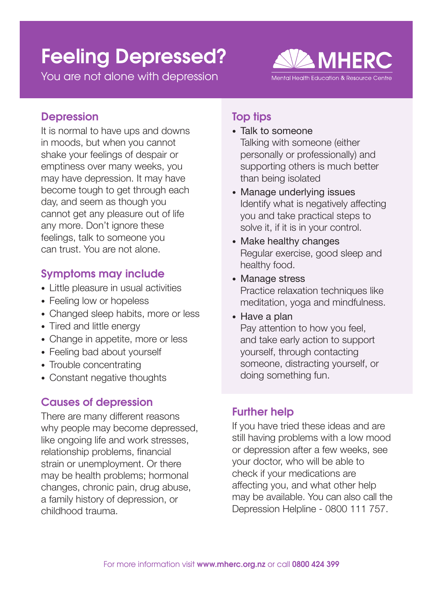# Feeling Depressed?

You are not alone with depression



## **Depression**

It is normal to have ups and downs in moods, but when you cannot shake your feelings of despair or emptiness over many weeks, you may have depression. It may have become tough to get through each day, and seem as though you cannot get any pleasure out of life any more. Don't ignore these feelings, talk to someone you can trust. You are not alone.

## Symptoms may include

- Little pleasure in usual activities
- Feeling low or hopeless
- Changed sleep habits, more or less
- Tired and little energy
- Change in appetite, more or less
- Feeling bad about yourself
- Trouble concentrating
- Constant negative thoughts

## Causes of depression

There are many different reasons why people may become depressed, like ongoing life and work stresses, relationship problems, financial strain or unemployment. Or there may be health problems; hormonal changes, chronic pain, drug abuse, a family history of depression, or childhood trauma.

## Top tips

- Talk to someone Talking with someone (either personally or professionally) and supporting others is much better than being isolated
- Manage underlying issues Identify what is negatively affecting you and take practical steps to solve it, if it is in your control.
- Make healthy changes Regular exercise, good sleep and healthy food.
- Manage stress Practice relaxation techniques like meditation, yoga and mindfulness.
- Have a plan Pay attention to how you feel, and take early action to support yourself, through contacting someone, distracting yourself, or doing something fun.

# Further help

If you have tried these ideas and are still having problems with a low mood or depression after a few weeks, see your doctor, who will be able to check if your medications are affecting you, and what other help may be available. You can also call the Depression Helpline - 0800 111 757.